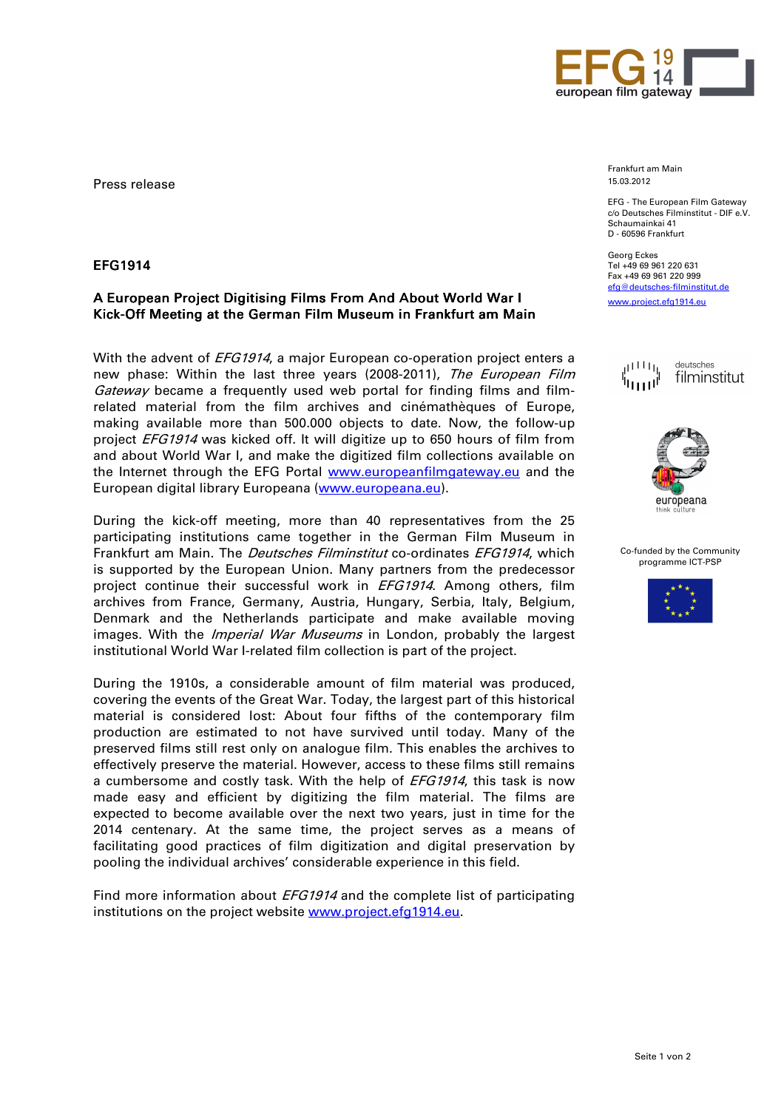

Press release

## EFG1914

## A European Project Digitising Films From And About World War I Kick-Off Meeting at the German Film Museum in Frankfurt am Main

With the advent of *EFG1914*, a major European co-operation project enters a new phase: Within the last three years (2008-2011), The European Film Gateway became a frequently used web portal for finding films and filmrelated material from the film archives and cinémathèques of Europe, making available more than 500.000 objects to date. Now, the follow-up project EFG1914 was kicked off. It will digitize up to 650 hours of film from and about World War I, and make the digitized film collections available on the Internet through the EFG Portal www.europeanfilmgateway.eu and the European digital library Europeana (www.europeana.eu).

During the kick-off meeting, more than 40 representatives from the 25 participating institutions came together in the German Film Museum in Frankfurt am Main. The *Deutsches Filminstitut* co-ordinates EFG1914, which is supported by the European Union. Many partners from the predecessor project continue their successful work in *EFG1914*. Among others, film archives from France, Germany, Austria, Hungary, Serbia, Italy, Belgium, Denmark and the Netherlands participate and make available moving images. With the *Imperial War Museums* in London, probably the largest institutional World War I-related film collection is part of the project.

During the 1910s, a considerable amount of film material was produced, covering the events of the Great War. Today, the largest part of this historical material is considered lost: About four fifths of the contemporary film production are estimated to not have survived until today. Many of the preserved films still rest only on analogue film. This enables the archives to effectively preserve the material. However, access to these films still remains a cumbersome and costly task. With the help of EFG1914, this task is now made easy and efficient by digitizing the film material. The films are expected to become available over the next two years, just in time for the 2014 centenary. At the same time, the project serves as a means of facilitating good practices of film digitization and digital preservation by pooling the individual archives' considerable experience in this field.

Find more information about *EFG1914* and the complete list of participating institutions on the project website www.project.efg1914.eu.

Frankfurt am Main 15.03.2012

EFG - The European Film Gateway c/o Deutsches Filminstitut - DIF e.V. Schaumainkai 41 D - 60596 Frankfurt

Georg Eckes Tel +49 69 961 220 631 Fax +49 69 961 220 999 efg@deutsches-filminstitut.de www.project.efg1914.eu





Co-funded by the Community programme ICT-PSP